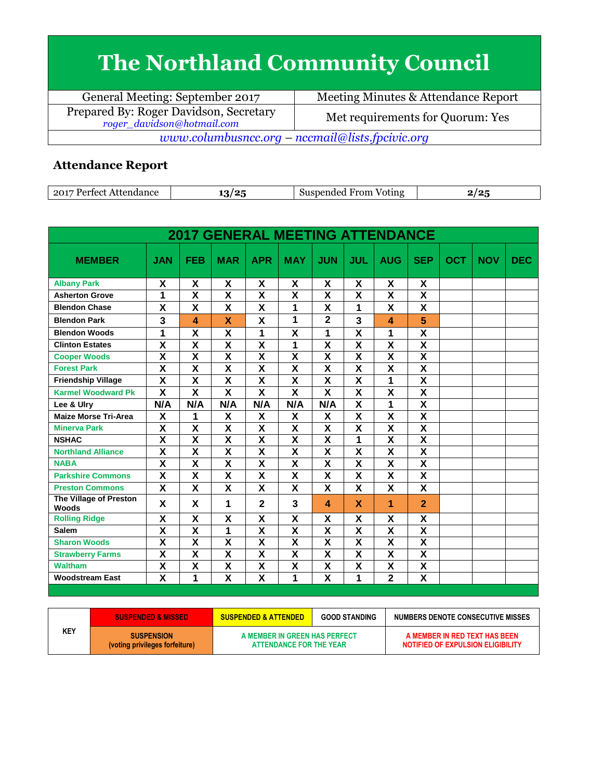## **The Northland Community Council**

| General Meeting: September 2017                                      | Meeting Minutes & Attendance Report |  |  |  |  |
|----------------------------------------------------------------------|-------------------------------------|--|--|--|--|
| Prepared By: Roger Davidson, Secretary<br>roger_davidson@hotmail.com | Met requirements for Quorum: Yes    |  |  |  |  |
| www.columbusncc.org – nccmail@lists.fpcivic.org                      |                                     |  |  |  |  |

## **Attendance Report**

| 2017<br>Attendance<br>Pertect<br>. | $\sim$<br>י נ<br>ັ | ___<br>Suspended<br>From<br>Voting | . . |
|------------------------------------|--------------------|------------------------------------|-----|

| <b>2017 GENERAL MEETING ATTENDANCE</b> |                         |                         |                         |                         |                           |                           |                         |                         |                         |            |            |            |
|----------------------------------------|-------------------------|-------------------------|-------------------------|-------------------------|---------------------------|---------------------------|-------------------------|-------------------------|-------------------------|------------|------------|------------|
| <b>MEMBER</b>                          | <b>JAN</b>              | <b>FEB</b>              | <b>MAR</b>              | <b>APR</b>              | <b>MAY</b>                | <b>JUN</b>                | <b>JUL</b>              | <b>AUG</b>              | <b>SEP</b>              | <b>OCT</b> | <b>NOV</b> | <b>DEC</b> |
| <b>Albany Park</b>                     | X                       | X                       | X                       | X                       | X                         | X                         | X                       | X                       | X                       |            |            |            |
| <b>Asherton Grove</b>                  | 1                       | $\overline{\mathsf{x}}$ | $\overline{\mathbf{x}}$ | $\overline{\mathbf{x}}$ | $\overline{\mathbf{x}}$   | $\overline{\mathbf{x}}$   | $\overline{\mathbf{x}}$ | $\overline{\mathbf{x}}$ | $\overline{\mathbf{x}}$ |            |            |            |
| <b>Blendon Chase</b>                   | X                       | X                       | X                       | X                       | 1                         | X                         | 1                       | X                       | X                       |            |            |            |
| <b>Blendon Park</b>                    | 3                       | 4                       | X                       | X                       | 1                         | $\overline{2}$            | $\overline{\mathbf{3}}$ | 4                       | 5                       |            |            |            |
| <b>Blendon Woods</b>                   | 1                       | $\overline{\mathsf{x}}$ | $\overline{\mathsf{x}}$ | 1                       | $\overline{\mathbf{x}}$   | 1                         | $\overline{\mathsf{x}}$ | 1                       | $\overline{\mathsf{x}}$ |            |            |            |
| <b>Clinton Estates</b>                 | $\overline{\textsf{x}}$ | $\overline{\textsf{x}}$ | $\overline{\textbf{x}}$ | $\overline{\mathsf{x}}$ | 1                         | $\overline{\mathbf{x}}$   | $\overline{\mathbf{x}}$ | $\overline{\textbf{x}}$ | $\overline{\mathbf{x}}$ |            |            |            |
| <b>Cooper Woods</b>                    | X                       | $\overline{\mathsf{x}}$ | X                       | $\overline{\mathsf{x}}$ | $\overline{\mathbf{x}}$   | $\overline{\mathbf{x}}$   | $\overline{\mathsf{x}}$ | X                       | X                       |            |            |            |
| <b>Forest Park</b>                     | $\overline{\mathsf{x}}$ | $\overline{\mathbf{x}}$ | $\overline{\mathsf{x}}$ | $\overline{\mathsf{x}}$ | $\overline{\mathbf{x}}$   | $\overline{\mathbf{x}}$   | $\overline{\mathbf{x}}$ | $\overline{\mathbf{x}}$ | $\overline{\mathbf{x}}$ |            |            |            |
| <b>Friendship Village</b>              | X                       | X                       | X                       | X                       | X                         | X                         | X                       | 1                       | X                       |            |            |            |
| <b>Karmel Woodward Pk</b>              | $\overline{\mathbf{x}}$ | $\overline{\textsf{x}}$ | $\overline{\mathbf{X}}$ | $\overline{\mathbf{x}}$ | $\overline{\mathbf{x}}$   | $\overline{\mathsf{x}}$   | $\overline{\mathbf{x}}$ | $\overline{\mathsf{x}}$ | $\overline{\mathsf{x}}$ |            |            |            |
| Lee & Ulry                             | N/A                     | N/A                     | N/A                     | N/A                     | N/A                       | N/A                       | $\overline{\mathsf{x}}$ | 1                       | $\overline{\mathbf{x}}$ |            |            |            |
| <b>Maize Morse Tri-Area</b>            | X                       | 1                       | X                       | X                       | X                         | X                         | X                       | X                       | X                       |            |            |            |
| <b>Minerva Park</b>                    | $\overline{\mathsf{x}}$ | $\overline{\mathsf{x}}$ | $\overline{\mathsf{x}}$ | $\overline{\mathsf{x}}$ | $\overline{\mathbf{x}}$   | $\overline{\mathsf{x}}$   | $\overline{\mathsf{x}}$ | $\overline{\textsf{x}}$ | $\overline{\mathsf{x}}$ |            |            |            |
| <b>NSHAC</b>                           | $\overline{\mathsf{x}}$ | $\overline{\mathsf{x}}$ | $\overline{\mathsf{x}}$ | $\overline{\mathbf{X}}$ | $\overline{\mathbf{x}}$   | $\overline{\mathbf{X}}$   | 1                       | $\overline{\mathsf{x}}$ | $\overline{\mathsf{x}}$ |            |            |            |
| <b>Northland Alliance</b>              | X                       | $\overline{\mathsf{x}}$ | $\overline{\mathsf{x}}$ | X                       | X                         | $\overline{\mathbf{x}}$   | X                       | $\overline{\mathbf{x}}$ | $\overline{\mathbf{x}}$ |            |            |            |
| <b>NABA</b>                            | $\overline{\mathsf{x}}$ | $\overline{\mathbf{x}}$ | $\overline{\mathsf{x}}$ | $\overline{\mathbf{X}}$ | $\overline{\mathbf{x}}$   | $\overline{\mathbf{X}}$   | $\overline{\mathsf{x}}$ | $\overline{\mathsf{x}}$ | $\overline{\mathsf{x}}$ |            |            |            |
| <b>Parkshire Commons</b>               | X                       | X                       | X                       | X                       | X                         | $\boldsymbol{\mathsf{X}}$ | X                       | X                       | X                       |            |            |            |
| <b>Preston Commons</b>                 | X                       | X                       | X                       | X                       | X                         | X                         | X                       | $\mathsf{\overline{X}}$ | X                       |            |            |            |
| The Village of Preston<br><b>Woods</b> | X                       | X                       | 1                       | $\overline{2}$          | 3                         | $\boldsymbol{\Lambda}$    | X                       | 1                       | $\overline{2}$          |            |            |            |
| <b>Rolling Ridge</b>                   | X                       | X                       | X                       | X                       | X                         | X                         | X                       | χ                       | χ                       |            |            |            |
| <b>Salem</b>                           | X                       | $\overline{\mathsf{x}}$ | 1                       | X                       | X                         | X                         | X                       | X                       | $\overline{\mathsf{x}}$ |            |            |            |
| <b>Sharon Woods</b>                    | $\overline{\mathsf{x}}$ | $\overline{\mathsf{x}}$ | X                       | $\overline{\mathsf{x}}$ | $\overline{\mathbf{x}}$   | $\overline{\mathbf{x}}$   | $\overline{\mathsf{x}}$ | $\overline{\mathsf{x}}$ | $\overline{\mathsf{x}}$ |            |            |            |
| <b>Strawberry Farms</b>                | X                       | X                       | X                       | $\overline{\mathbf{X}}$ | X                         | $\overline{\mathbf{X}}$   | X                       | X                       | X                       |            |            |            |
| <b>Waltham</b>                         | X                       | X                       | X                       | X                       | $\boldsymbol{\mathsf{X}}$ | $\boldsymbol{\mathsf{X}}$ | X                       | X                       | X                       |            |            |            |
| <b>Woodstream East</b>                 | $\overline{\mathsf{x}}$ | 1                       | $\overline{\mathsf{x}}$ | $\overline{\mathsf{x}}$ | 1                         | $\overline{\mathbf{x}}$   | 1                       | $\overline{2}$          | $\overline{\mathsf{x}}$ |            |            |            |

|            | <b>SUSPENDED &amp; MISSED</b>                       | <b>GOOD STANDING</b><br><b>SUSPENDED &amp; ATTENDED</b>  |  | NUMBERS DENOTE CONSECUTIVE MISSES                                  |
|------------|-----------------------------------------------------|----------------------------------------------------------|--|--------------------------------------------------------------------|
| <b>KEY</b> | <b>SUSPENSION</b><br>(voting privileges forfeiture) | A MEMBER IN GREEN HAS PERFECT<br>ATTENDANCE FOR THE YEAR |  | A MEMBER IN RED TEXT HAS BEEN<br>NOTIFIED OF EXPULSION ELIGIBILITY |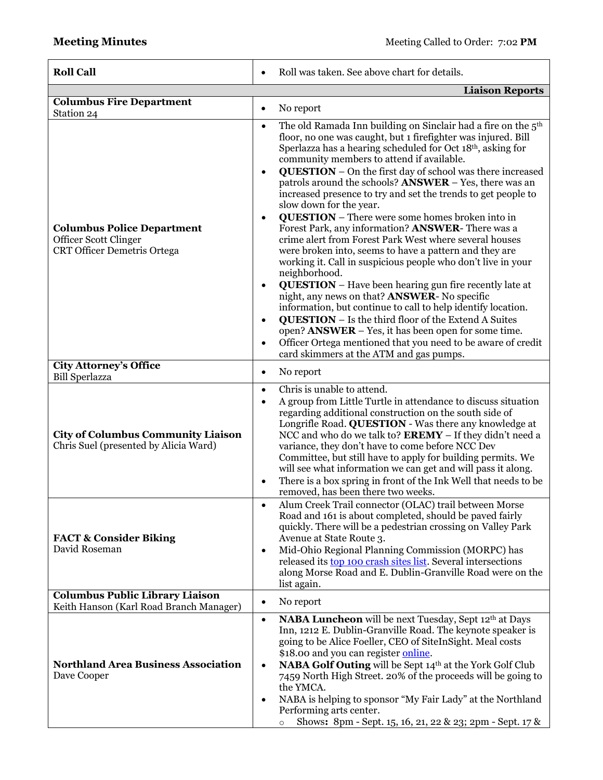| <b>Roll Call</b>                                                                                 | Roll was taken. See above chart for details.<br>$\bullet$                                                                                                                                                                                                                                                                                                                                                                                                                                                                                                                                                                                                                                                                                                                                                                                                                                                                                                                                                                                                                                                                                                                                                                                                                       |  |  |  |
|--------------------------------------------------------------------------------------------------|---------------------------------------------------------------------------------------------------------------------------------------------------------------------------------------------------------------------------------------------------------------------------------------------------------------------------------------------------------------------------------------------------------------------------------------------------------------------------------------------------------------------------------------------------------------------------------------------------------------------------------------------------------------------------------------------------------------------------------------------------------------------------------------------------------------------------------------------------------------------------------------------------------------------------------------------------------------------------------------------------------------------------------------------------------------------------------------------------------------------------------------------------------------------------------------------------------------------------------------------------------------------------------|--|--|--|
|                                                                                                  | <b>Liaison Reports</b>                                                                                                                                                                                                                                                                                                                                                                                                                                                                                                                                                                                                                                                                                                                                                                                                                                                                                                                                                                                                                                                                                                                                                                                                                                                          |  |  |  |
| <b>Columbus Fire Department</b><br>Station 24                                                    | No report<br>$\bullet$                                                                                                                                                                                                                                                                                                                                                                                                                                                                                                                                                                                                                                                                                                                                                                                                                                                                                                                                                                                                                                                                                                                                                                                                                                                          |  |  |  |
| <b>Columbus Police Department</b><br>Officer Scott Clinger<br><b>CRT Officer Demetris Ortega</b> | The old Ramada Inn building on Sinclair had a fire on the 5 <sup>th</sup><br>$\bullet$<br>floor, no one was caught, but 1 firefighter was injured. Bill<br>Sperlazza has a hearing scheduled for Oct 18th, asking for<br>community members to attend if available.<br><b>QUESTION</b> – On the first day of school was there increased<br>$\bullet$<br>patrols around the schools? <b>ANSWER</b> - Yes, there was an<br>increased presence to try and set the trends to get people to<br>slow down for the year.<br><b>QUESTION</b> – There were some homes broken into in<br>$\bullet$<br>Forest Park, any information? ANSWER-There was a<br>crime alert from Forest Park West where several houses<br>were broken into, seems to have a pattern and they are<br>working it. Call in suspicious people who don't live in your<br>neighborhood.<br><b>QUESTION</b> - Have been hearing gun fire recently late at<br>night, any news on that? ANSWER- No specific<br>information, but continue to call to help identify location.<br><b>QUESTION</b> - Is the third floor of the Extend A Suites<br>open? ANSWER – Yes, it has been open for some time.<br>Officer Ortega mentioned that you need to be aware of credit<br>$\bullet$<br>card skimmers at the ATM and gas pumps. |  |  |  |
| City Attorney's Office<br><b>Bill Sperlazza</b>                                                  | No report<br>$\bullet$                                                                                                                                                                                                                                                                                                                                                                                                                                                                                                                                                                                                                                                                                                                                                                                                                                                                                                                                                                                                                                                                                                                                                                                                                                                          |  |  |  |
| <b>City of Columbus Community Liaison</b><br>Chris Suel (presented by Alicia Ward)               | Chris is unable to attend.<br>$\bullet$<br>A group from Little Turtle in attendance to discuss situation<br>$\bullet$<br>regarding additional construction on the south side of<br>Longrifle Road. QUESTION - Was there any knowledge at<br>NCC and who do we talk to? EREMY - If they didn't need a<br>variance, they don't have to come before NCC Dev<br>Committee, but still have to apply for building permits. We<br>will see what information we can get and will pass it along.<br>There is a box spring in front of the Ink Well that needs to be<br>removed, has been there two weeks.                                                                                                                                                                                                                                                                                                                                                                                                                                                                                                                                                                                                                                                                                |  |  |  |
| <b>FACT &amp; Consider Biking</b><br>David Roseman                                               | Alum Creek Trail connector (OLAC) trail between Morse<br>$\bullet$<br>Road and 161 is about completed, should be paved fairly<br>quickly. There will be a pedestrian crossing on Valley Park<br>Avenue at State Route 3.<br>Mid-Ohio Regional Planning Commission (MORPC) has<br>$\bullet$<br>released its top 100 crash sites list. Several intersections<br>along Morse Road and E. Dublin-Granville Road were on the<br>list again.                                                                                                                                                                                                                                                                                                                                                                                                                                                                                                                                                                                                                                                                                                                                                                                                                                          |  |  |  |
| <b>Columbus Public Library Liaison</b><br>Keith Hanson (Karl Road Branch Manager)                | No report<br>$\bullet$                                                                                                                                                                                                                                                                                                                                                                                                                                                                                                                                                                                                                                                                                                                                                                                                                                                                                                                                                                                                                                                                                                                                                                                                                                                          |  |  |  |
| <b>Northland Area Business Association</b><br>Dave Cooper                                        | <b>NABA Luncheon</b> will be next Tuesday, Sept 12 <sup>th</sup> at Days<br>$\bullet$<br>Inn, 1212 E. Dublin-Granville Road. The keynote speaker is<br>going to be Alice Foeller, CEO of SiteInSight. Meal costs<br>\$18.00 and you can register online.<br><b>NABA Golf Outing</b> will be Sept 14 <sup>th</sup> at the York Golf Club<br>$\bullet$<br>7459 North High Street. 20% of the proceeds will be going to<br>the YMCA.<br>NABA is helping to sponsor "My Fair Lady" at the Northland<br>Performing arts center.<br>Shows: 8pm - Sept. 15, 16, 21, 22 & 23; 2pm - Sept. 17 &                                                                                                                                                                                                                                                                                                                                                                                                                                                                                                                                                                                                                                                                                          |  |  |  |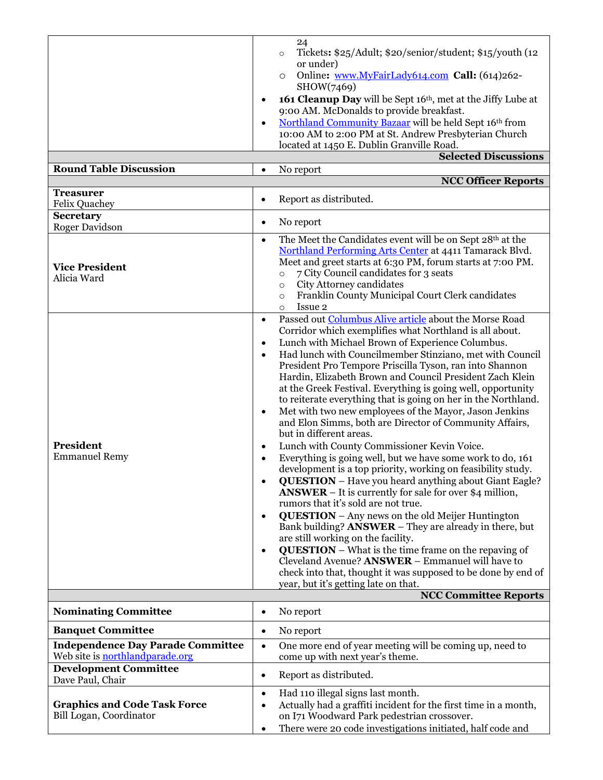| <b>Round Table Discussion</b>                                                      | 24<br>Tickets: \$25/Adult; \$20/senior/student; \$15/youth (12)<br>$\circ$<br>or under)<br>Online: www.MyFairLady614.com Call: (614)262-<br>$\circ$<br>SHOW(7469)<br>161 Cleanup Day will be Sept 16th, met at the Jiffy Lube at<br>$\bullet$<br>9:00 AM. McDonalds to provide breakfast.<br>Northland Community Bazaar will be held Sept 16th from<br>$\bullet$<br>10:00 AM to 2:00 PM at St. Andrew Presbyterian Church<br>located at 1450 E. Dublin Granville Road.<br><b>Selected Discussions</b><br>No report<br>$\bullet$<br><b>NCC Officer Reports</b>                                                                                                                                                                                                                                                                                                                                                                                                                                                                                                                                                                                                                                                                                                                                                                                                                                                                                                                                                                                              |
|------------------------------------------------------------------------------------|------------------------------------------------------------------------------------------------------------------------------------------------------------------------------------------------------------------------------------------------------------------------------------------------------------------------------------------------------------------------------------------------------------------------------------------------------------------------------------------------------------------------------------------------------------------------------------------------------------------------------------------------------------------------------------------------------------------------------------------------------------------------------------------------------------------------------------------------------------------------------------------------------------------------------------------------------------------------------------------------------------------------------------------------------------------------------------------------------------------------------------------------------------------------------------------------------------------------------------------------------------------------------------------------------------------------------------------------------------------------------------------------------------------------------------------------------------------------------------------------------------------------------------------------------------|
| <b>Treasurer</b><br><b>Felix Quachey</b>                                           | Report as distributed.<br>$\bullet$                                                                                                                                                                                                                                                                                                                                                                                                                                                                                                                                                                                                                                                                                                                                                                                                                                                                                                                                                                                                                                                                                                                                                                                                                                                                                                                                                                                                                                                                                                                        |
| Secretary<br>Roger Davidson                                                        | No report<br>$\bullet$                                                                                                                                                                                                                                                                                                                                                                                                                                                                                                                                                                                                                                                                                                                                                                                                                                                                                                                                                                                                                                                                                                                                                                                                                                                                                                                                                                                                                                                                                                                                     |
| <b>Vice President</b><br>Alicia Ward                                               | The Meet the Candidates event will be on Sept 28th at the<br>$\bullet$<br>Northland Performing Arts Center at 4411 Tamarack Blvd.<br>Meet and greet starts at 6:30 PM, forum starts at 7:00 PM.<br>7 City Council candidates for 3 seats<br>$\circ$<br>City Attorney candidates<br>$\circ$<br>Franklin County Municipal Court Clerk candidates<br>$\circ$<br>Issue 2<br>$\circ$                                                                                                                                                                                                                                                                                                                                                                                                                                                                                                                                                                                                                                                                                                                                                                                                                                                                                                                                                                                                                                                                                                                                                                            |
| President<br><b>Emmanuel Remy</b>                                                  | Passed out Columbus Alive article about the Morse Road<br>$\bullet$<br>Corridor which exemplifies what Northland is all about.<br>Lunch with Michael Brown of Experience Columbus.<br>$\bullet$<br>Had lunch with Councilmember Stinziano, met with Council<br>$\bullet$<br>President Pro Tempore Priscilla Tyson, ran into Shannon<br>Hardin, Elizabeth Brown and Council President Zach Klein<br>at the Greek Festival. Everything is going well, opportunity<br>to reiterate everything that is going on her in the Northland.<br>Met with two new employees of the Mayor, Jason Jenkins<br>$\bullet$<br>and Elon Simms, both are Director of Community Affairs,<br>but in different areas.<br>Lunch with County Commissioner Kevin Voice.<br>$\bullet$<br>Everything is going well, but we have some work to do, 161<br>$\bullet$<br>development is a top priority, working on feasibility study.<br><b>QUESTION</b> - Have you heard anything about Giant Eagle?<br>$\bullet$<br><b>ANSWER</b> – It is currently for sale for over \$4 million,<br>rumors that it's sold are not true.<br><b>QUESTION</b> – Any news on the old Meijer Huntington<br>$\bullet$<br>Bank building? <b>ANSWER</b> – They are already in there, but<br>are still working on the facility.<br><b>QUESTION</b> – What is the time frame on the repaving of<br>$\bullet$<br>Cleveland Avenue? <b>ANSWER</b> - Emmanuel will have to<br>check into that, thought it was supposed to be done by end of<br>year, but it's getting late on that.<br><b>NCC Committee Reports</b> |
| <b>Nominating Committee</b>                                                        | No report<br>$\bullet$                                                                                                                                                                                                                                                                                                                                                                                                                                                                                                                                                                                                                                                                                                                                                                                                                                                                                                                                                                                                                                                                                                                                                                                                                                                                                                                                                                                                                                                                                                                                     |
| <b>Banquet Committee</b>                                                           | No report<br>$\bullet$                                                                                                                                                                                                                                                                                                                                                                                                                                                                                                                                                                                                                                                                                                                                                                                                                                                                                                                                                                                                                                                                                                                                                                                                                                                                                                                                                                                                                                                                                                                                     |
| <b>Independence Day Parade Committee</b><br>Web site is <b>northlandparade.org</b> | One more end of year meeting will be coming up, need to<br>$\bullet$<br>come up with next year's theme.                                                                                                                                                                                                                                                                                                                                                                                                                                                                                                                                                                                                                                                                                                                                                                                                                                                                                                                                                                                                                                                                                                                                                                                                                                                                                                                                                                                                                                                    |
| <b>Development Committee</b><br>Dave Paul, Chair                                   | Report as distributed.<br>$\bullet$                                                                                                                                                                                                                                                                                                                                                                                                                                                                                                                                                                                                                                                                                                                                                                                                                                                                                                                                                                                                                                                                                                                                                                                                                                                                                                                                                                                                                                                                                                                        |
| <b>Graphics and Code Task Force</b><br>Bill Logan, Coordinator                     | Had 110 illegal signs last month.<br>$\bullet$<br>Actually had a graffiti incident for the first time in a month,<br>$\bullet$<br>on I71 Woodward Park pedestrian crossover.<br>There were 20 code investigations initiated, half code and<br>٠                                                                                                                                                                                                                                                                                                                                                                                                                                                                                                                                                                                                                                                                                                                                                                                                                                                                                                                                                                                                                                                                                                                                                                                                                                                                                                            |